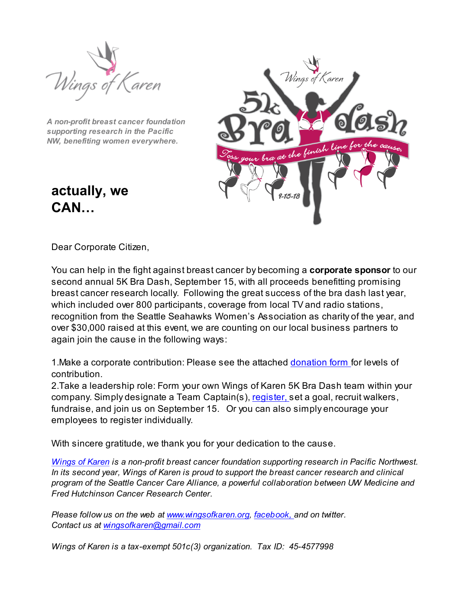

*A non-profit breast cancer foundation supporting research in the Pacific NW, benefiting women everywhere.*



**actually, we CAN…**

Dear Corporate Citizen,

You can help in the fight against breast cancer by becoming a **corporate sponsor** to our second annual 5K Bra Dash, September 15, with all proceeds benefitting promising breast cancer research locally. Following the great success of the bra dash last year, which included over 800 participants, coverage from local TV and radio stations, recognition from the Seattle Seahawks Women's Association as charity of the year, and over \$30,000 raised at this event, we are counting on our local business partners to again join the cause in the following ways:

1.Make a corporate contribution: Please see the attached donation form for levels of contribution.

2.Take a leadership role: Form your own Wings of Karen 5K Bra Dash team within your company. Simply designate a Team Captain(s), register, set a goal, recruit walkers, fundraise, and join us on September 15. Or you can also simply encourage your employees to register individually.

With sincere gratitude, we thank you for your dedication to the cause.

*Wings of Karen is a non-profit breast cancer foundation supporting research in Pacific Northwest. In its second year, Wings of Karen is proud to support the breast cancer research and clinical program of the Seattle Cancer Care Alliance, a powerful collaboration between UW Medicine and Fred Hutchinson Cancer Research Center.*

*Please follow us on the web at www.wingsofkaren.org, facebook, and on twitter. Contact us at wingsofkaren@gmail.com*

*Wings of Karen is a tax-exempt 501c(3) organization. Tax ID: 45-4577998*